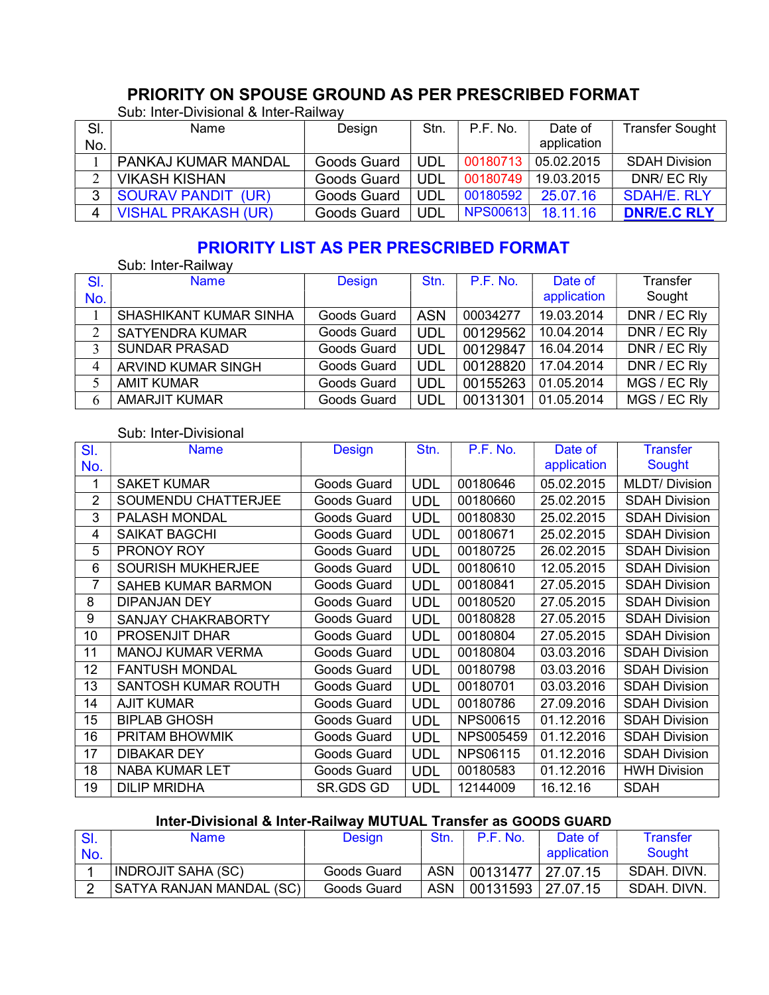# PRIORITY ON SPOUSE GROUND AS PER PRESCRIBED FORMAT

| SI. | Name                       | Design      | Stn. | P.F. No.        | Date of     | <b>Transfer Sought</b> |
|-----|----------------------------|-------------|------|-----------------|-------------|------------------------|
| No. |                            |             |      |                 | application |                        |
|     | <b>PANKAJ KUMAR MANDAL</b> | Goods Guard | UDL  | 00180713        | 05.02.2015  | <b>SDAH Division</b>   |
|     | <b>VIKASH KISHAN</b>       | Goods Guard | UDL  | 00180749        | 19.03.2015  | DNR/ EC RIV            |
| 2   | <b>SOURAV PANDIT (UR)</b>  | Goods Guard | UDL  | 00180592        | 25.07.16    | <b>SDAH/E, RLY</b>     |
| 4   | <b>VISHAL PRAKASH (UR)</b> | Goods Guard | UDL  | <b>NPS00613</b> | 18.11.16    | <b>DNR/E.C RLY</b>     |

Sub: Inter-Divisional & Inter-Railway

# PRIORITY LIST AS PER PRESCRIBED FORMAT

|            | Sub: Inter-Railway        |               |            |                 |                        |                    |
|------------|---------------------------|---------------|------------|-----------------|------------------------|--------------------|
| SI.<br>No. | <b>Name</b>               | <b>Design</b> | Stn.       | <b>P.F. No.</b> | Date of<br>application | Transfer<br>Sought |
|            | SHASHIKANT KUMAR SINHA    | Goods Guard   | <b>ASN</b> | 00034277        | 19.03.2014             | DNR / EC Rly       |
|            |                           |               |            |                 |                        |                    |
| 2          | <b>SATYENDRA KUMAR</b>    | Goods Guard   | <b>UDL</b> | 00129562        | 10.04.2014             | DNR / EC Rly       |
| 3          | <b>SUNDAR PRASAD</b>      | Goods Guard   | <b>UDL</b> | 00129847        | 16.04.2014             | DNR / EC Rly       |
| 4          | <b>ARVIND KUMAR SINGH</b> | Goods Guard   | <b>UDL</b> | 00128820        | 17.04.2014             | DNR / EC Rly       |
|            | <b>AMIT KUMAR</b>         | Goods Guard   | <b>UDL</b> | 00155263        | 01.05.2014             | MGS / EC RIV       |
| 6          | <b>AMARJIT KUMAR</b>      | Goods Guard   | <b>UDL</b> | 00131301        | 01.05.2014             | MGS / EC Rly       |

Sub: Inter-Divisional

| SI.            | <b>Name</b>                | <b>Design</b> | Stn.       | P.F. No.        | Date of     | <b>Transfer</b>      |
|----------------|----------------------------|---------------|------------|-----------------|-------------|----------------------|
| No.            |                            |               |            |                 | application | Sought               |
| 1              | <b>SAKET KUMAR</b>         | Goods Guard   | <b>UDL</b> | 00180646        | 05.02.2015  | <b>MLDT/Division</b> |
| $\overline{2}$ | <b>SOUMENDU CHATTERJEE</b> | Goods Guard   | <b>UDL</b> | 00180660        | 25.02.2015  | <b>SDAH Division</b> |
| 3              | PALASH MONDAL              | Goods Guard   | <b>UDL</b> | 00180830        | 25.02.2015  | <b>SDAH Division</b> |
| 4              | <b>SAIKAT BAGCHI</b>       | Goods Guard   | <b>UDL</b> | 00180671        | 25.02.2015  | <b>SDAH Division</b> |
| 5              | PRONOY ROY                 | Goods Guard   | <b>UDL</b> | 00180725        | 26.02.2015  | <b>SDAH Division</b> |
| 6              | <b>SOURISH MUKHERJEE</b>   | Goods Guard   | <b>UDL</b> | 00180610        | 12.05.2015  | <b>SDAH Division</b> |
| 7              | <b>SAHEB KUMAR BARMON</b>  | Goods Guard   | <b>UDL</b> | 00180841        | 27.05.2015  | <b>SDAH Division</b> |
| 8              | <b>DIPANJAN DEY</b>        | Goods Guard   | <b>UDL</b> | 00180520        | 27.05.2015  | <b>SDAH Division</b> |
| 9              | <b>SANJAY CHAKRABORTY</b>  | Goods Guard   | <b>UDL</b> | 00180828        | 27.05.2015  | <b>SDAH Division</b> |
| 10             | <b>PROSENJIT DHAR</b>      | Goods Guard   | <b>UDL</b> | 00180804        | 27.05.2015  | <b>SDAH Division</b> |
| 11             | <b>MANOJ KUMAR VERMA</b>   | Goods Guard   | <b>UDL</b> | 00180804        | 03.03.2016  | <b>SDAH Division</b> |
| 12             | <b>FANTUSH MONDAL</b>      | Goods Guard   | <b>UDL</b> | 00180798        | 03.03.2016  | <b>SDAH Division</b> |
| 13             | <b>SANTOSH KUMAR ROUTH</b> | Goods Guard   | <b>UDL</b> | 00180701        | 03.03.2016  | <b>SDAH Division</b> |
| 14             | <b>AJIT KUMAR</b>          | Goods Guard   | <b>UDL</b> | 00180786        | 27.09.2016  | <b>SDAH Division</b> |
| 15             | <b>BIPLAB GHOSH</b>        | Goods Guard   | <b>UDL</b> | <b>NPS00615</b> | 01.12.2016  | <b>SDAH Division</b> |
| 16             | PRITAM BHOWMIK             | Goods Guard   | <b>UDL</b> | NPS005459       | 01.12.2016  | <b>SDAH Division</b> |
| 17             | <b>DIBAKAR DEY</b>         | Goods Guard   | <b>UDL</b> | <b>NPS06115</b> | 01.12.2016  | <b>SDAH Division</b> |
| 18             | <b>NABA KUMAR LET</b>      | Goods Guard   | <b>UDL</b> | 00180583        | 01.12.2016  | <b>HWH Division</b>  |
| 19             | <b>DILIP MRIDHA</b>        | SR.GDS GD     | <b>UDL</b> | 12144009        | 16.12.16    | <b>SDAH</b>          |

### Inter-Divisional & Inter-Railway MUTUAL Transfer as GOODS GUARD

| SI. | Name                            | <b>Design</b> | Stn.       | P.F. No.          | Date of     | Transfer    |
|-----|---------------------------------|---------------|------------|-------------------|-------------|-------------|
| No. |                                 |               |            |                   | application | Sought      |
|     | <b>INDROJIT SAHA (SC)</b>       | Goods Guard   | <b>ASN</b> | 00131477          | 27.07.15    | SDAH, DIVN. |
|     | <b>SATYA RANJAN MANDAL (SC)</b> | Goods Guard   | ASN        | 00131593 27.07.15 |             | SDAH, DIVN. |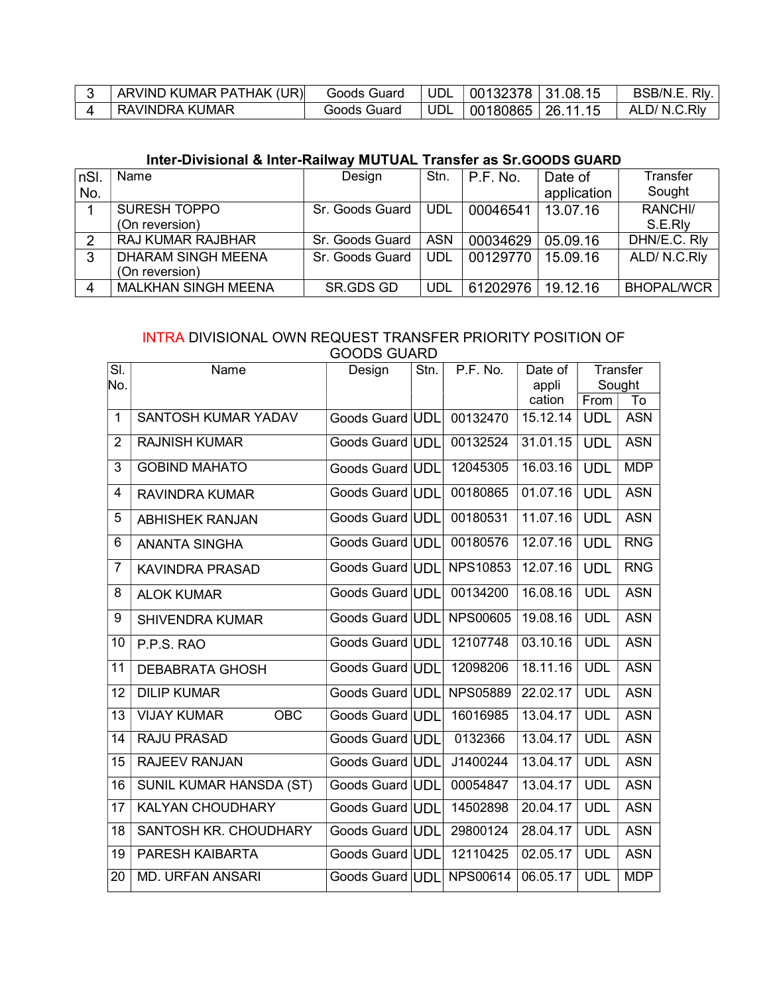| ARVIND KUMAR PATHAK (UR) | Goods Guard | UDL        | $\mid$ 00132378 $\mid$ 31.08.15 | BSB/N.E. Rly. |
|--------------------------|-------------|------------|---------------------------------|---------------|
| RAVINDRA KUMAR           | Goods Guard | <b>UDL</b> | $\mid$ 00180865   26.11.15      | ALD/ N.C.RIV  |

### Inter-Divisional & Inter-Railway MUTUAL Transfer as Sr.GOODS GUARD

| nSI. | Name                       | Design          | Stn.       | P.F. No. | Date of     | Transfer            |
|------|----------------------------|-----------------|------------|----------|-------------|---------------------|
| No.  |                            |                 |            |          | application | Sought              |
|      | <b>SURESH TOPPO</b>        | Sr. Goods Guard | <b>UDL</b> | 00046541 | 13.07.16    | RANCHI/             |
|      | (On reversion)             |                 |            |          |             | S.E.RI <sub>V</sub> |
| 2    | <b>RAJ KUMAR RAJBHAR</b>   | Sr. Goods Guard | <b>ASN</b> | 00034629 | 05.09.16    | DHN/E.C. Rly        |
| 3    | DHARAM SINGH MEENA         | Sr. Goods Guard | <b>UDL</b> | 00129770 | 15.09.16    | ALD/N.C.Rly         |
|      | (On reversion)             |                 |            |          |             |                     |
|      | <b>MALKHAN SINGH MEENA</b> | SR.GDS GD       | <b>UDL</b> | 61202976 | 19.12.16    | <b>BHOPAL/WCR</b>   |

#### INTRA DIVISIONAL OWN REQUEST TRANSFER PRIORITY POSITION OF GOODS GUARD

| SI.            | Name                             | שי וחטט טשטע<br>Design | Stn. | P.F. No.        | Date of         |            | Transfer     |
|----------------|----------------------------------|------------------------|------|-----------------|-----------------|------------|--------------|
| No.            |                                  |                        |      |                 | appli<br>cation | From       | Sought<br>To |
| $\mathbf{1}$   | SANTOSH KUMAR YADAV              | Goods Guard UDL        |      | 00132470        | 15.12.14        | <b>UDL</b> | <b>ASN</b>   |
| $\overline{2}$ | <b>RAJNISH KUMAR</b>             | Goods Guard UDL        |      | 00132524        | 31.01.15        | <b>UDL</b> | <b>ASN</b>   |
| 3              | <b>GOBIND MAHATO</b>             | Goods Guard UDL        |      | 12045305        | 16.03.16        | <b>UDL</b> | <b>MDP</b>   |
| $\overline{4}$ | <b>RAVINDRA KUMAR</b>            | Goods Guard UDL        |      | 00180865        | 01.07.16        | <b>UDL</b> | <b>ASN</b>   |
| 5              | <b>ABHISHEK RANJAN</b>           | Goods Guard UDL        |      | 00180531        | 11.07.16        | <b>UDL</b> | <b>ASN</b>   |
| 6              | <b>ANANTA SINGHA</b>             | Goods Guard UDL        |      | 00180576        | 12.07.16        | <b>UDL</b> | <b>RNG</b>   |
| $\overline{7}$ | <b>KAVINDRA PRASAD</b>           | Goods Guard UDL        |      | <b>NPS10853</b> | 12.07.16        | <b>UDL</b> | <b>RNG</b>   |
| 8              | <b>ALOK KUMAR</b>                | Goods Guard UDL        |      | 00134200        | 16.08.16        | <b>UDL</b> | <b>ASN</b>   |
| 9              | <b>SHIVENDRA KUMAR</b>           | Goods Guard UDL        |      | <b>NPS00605</b> | 19.08.16        | <b>UDL</b> | <b>ASN</b>   |
| 10             | P.P.S. RAO                       | Goods Guard UDL        |      | 12107748        | 03.10.16        | <b>UDL</b> | <b>ASN</b>   |
| 11             | <b>DEBABRATA GHOSH</b>           | Goods Guard UDL        |      | 12098206        | 18.11.16        | <b>UDL</b> | <b>ASN</b>   |
| 12             | <b>DILIP KUMAR</b>               | Goods Guard UDL        |      | <b>NPS05889</b> | 22.02.17        | <b>UDL</b> | <b>ASN</b>   |
| 13             | <b>VIJAY KUMAR</b><br><b>OBC</b> | Goods Guard UDL        |      | 16016985        | 13.04.17        | <b>UDL</b> | <b>ASN</b>   |
| 14             | <b>RAJU PRASAD</b>               | Goods Guard UDL        |      | 0132366         | 13.04.17        | <b>UDL</b> | <b>ASN</b>   |
| 15             | <b>RAJEEV RANJAN</b>             | Goods Guard UDL        |      | J1400244        | 13.04.17        | <b>UDL</b> | <b>ASN</b>   |
| 16             | <b>SUNIL KUMAR HANSDA (ST)</b>   | Goods Guard UDL        |      | 00054847        | 13.04.17        | <b>UDL</b> | <b>ASN</b>   |
| 17             | <b>KALYAN CHOUDHARY</b>          | Goods Guard UDL        |      | 14502898        | 20.04.17        | <b>UDL</b> | <b>ASN</b>   |
| 18             | SANTOSH KR. CHOUDHARY            | Goods Guard UDL        |      | 29800124        | 28.04.17        | <b>UDL</b> | <b>ASN</b>   |
| 19             | PARESH KAIBARTA                  | Goods Guard UDL        |      | 12110425        | 02.05.17        | <b>UDL</b> | <b>ASN</b>   |
| 20             | <b>MD. URFAN ANSARI</b>          | Goods Guard UDL        |      | NPS00614        | 06.05.17        | <b>UDL</b> | <b>MDP</b>   |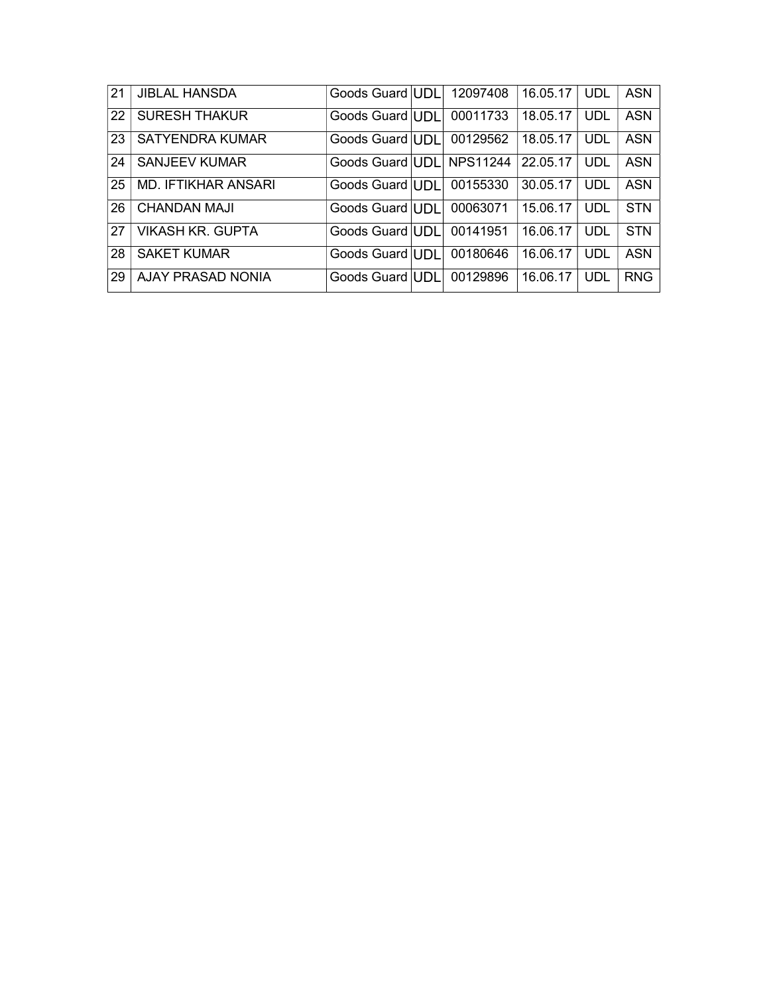| 21 | <b>JIBLAL HANSDA</b>     | Goods Guard UDL | 12097408        | 16.05.17 | <b>UDL</b> | <b>ASN</b> |
|----|--------------------------|-----------------|-----------------|----------|------------|------------|
| 22 | <b>SURESH THAKUR</b>     | Goods Guard UDL | 00011733        | 18.05.17 | <b>UDL</b> | <b>ASN</b> |
| 23 | SATYENDRA KUMAR          | Goods Guard UDL | 00129562        | 18.05.17 | UDL        | <b>ASN</b> |
| 24 | <b>SANJEEV KUMAR</b>     | Goods Guard UDL | <b>NPS11244</b> | 22.05.17 | UDL        | ASN        |
| 25 | MD. IFTIKHAR ANSARI      | Goods Guard UDL | 00155330        | 30.05.17 | UDL        | ASN        |
| 26 | CHANDAN MAJI             | Goods Guard UDL | 00063071        | 15.06.17 | UDL        | <b>STN</b> |
| 27 | <b>VIKASH KR. GUPTA</b>  | Goods Guard UDL | 00141951        | 16.06.17 | UDL        | <b>STN</b> |
| 28 | <b>SAKET KUMAR</b>       | Goods Guard UDL | 00180646        | 16.06.17 | UDL        | <b>ASN</b> |
| 29 | <b>AJAY PRASAD NONIA</b> | Goods Guard UDL | 00129896        | 16.06.17 | UDL        | <b>RNG</b> |